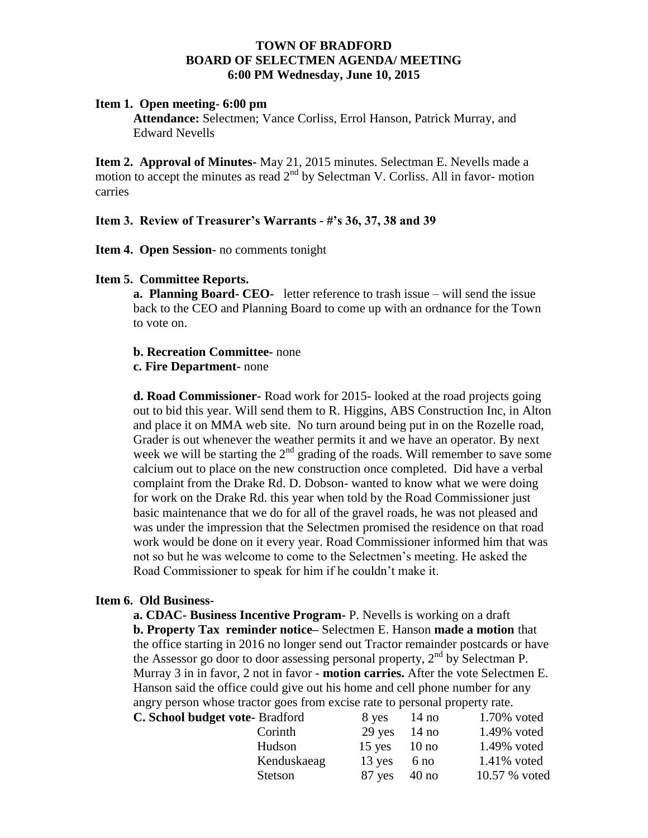## **TOWN OF BRADFORD BOARD OF SELECTMEN AGENDA/ MEETING 6:00 PM Wednesday, June 10, 2015**

## **Item 1. Open meeting- 6:00 pm**

**Attendance:** Selectmen; Vance Corliss, Errol Hanson, Patrick Murray, and Edward Nevells

**Item 2. Approval of Minutes-** May 21, 2015 minutes. Selectman E. Nevells made a motion to accept the minutes as read  $2<sup>nd</sup>$  by Selectman V. Corliss. All in favor- motion carries

# **Item 3. Review of Treasurer's Warrants - #'s 36, 37, 38 and 39**

**Item 4. Open Session-** no comments tonight

# **Item 5. Committee Reports.**

**a. Planning Board- CEO-** letter reference to trash issue – will send the issue back to the CEO and Planning Board to come up with an ordnance for the Town to vote on.

## **b. Recreation Committee-** none

## **c. Fire Department-** none

**d. Road Commissioner-** Road work for 2015- looked at the road projects going out to bid this year. Will send them to R. Higgins, ABS Construction Inc, in Alton and place it on MMA web site. No turn around being put in on the Rozelle road, Grader is out whenever the weather permits it and we have an operator. By next week we will be starting the  $2<sup>nd</sup>$  grading of the roads. Will remember to save some calcium out to place on the new construction once completed. Did have a verbal complaint from the Drake Rd. D. Dobson- wanted to know what we were doing for work on the Drake Rd. this year when told by the Road Commissioner just basic maintenance that we do for all of the gravel roads, he was not pleased and was under the impression that the Selectmen promised the residence on that road work would be done on it every year. Road Commissioner informed him that was not so but he was welcome to come to the Selectmen's meeting. He asked the Road Commissioner to speak for him if he couldn't make it.

## **Item 6. Old Business-**

**a. CDAC- Business Incentive Program-** P. Nevells is working on a draft **b. Property Tax reminder notice–** Selectmen E. Hanson **made a motion** that the office starting in 2016 no longer send out Tractor remainder postcards or have the Assessor go door to door assessing personal property,  $2<sup>nd</sup>$  by Selectman P. Murray 3 in in favor, 2 not in favor - **motion carries.** After the vote Selectmen E. Hanson said the office could give out his home and cell phone number for any angry person whose tractor goes from excise rate to personal property rate. **C. School budget vot** 

| te-Bradford    | 8 yes            | 14 <sub>no</sub> | 1.70% voted   |
|----------------|------------------|------------------|---------------|
| Corinth        | $29$ yes $14$ no |                  | 1.49% voted   |
| Hudson         | $15$ yes $10$ no |                  | 1.49% voted   |
| Kenduskaeag    | $13$ yes         | 6 no             | 1.41% voted   |
| <b>Stetson</b> | $87$ yes $40$ no |                  | 10.57 % voted |
|                |                  |                  |               |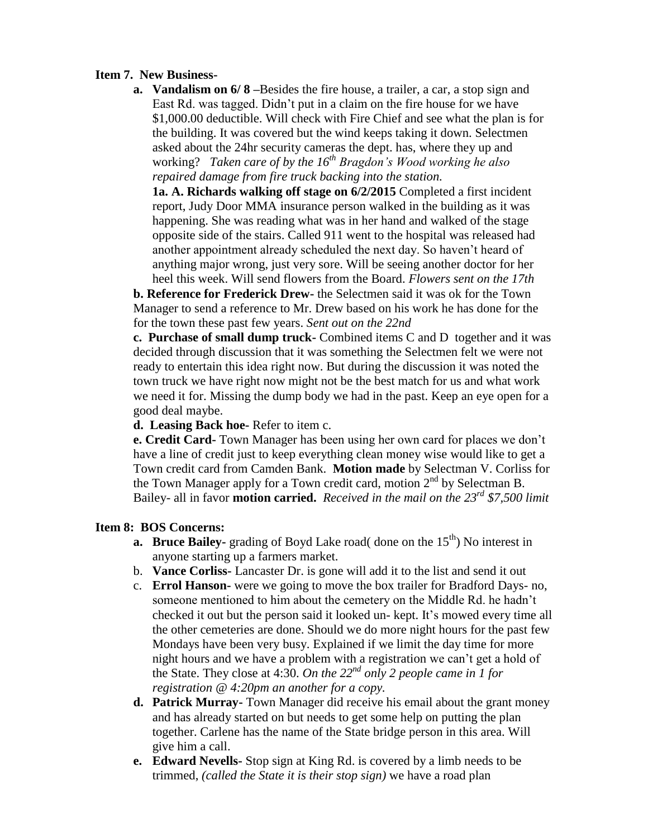# **Item 7. New Business-**

**a. Vandalism on 6/ 8 –**Besides the fire house, a trailer, a car, a stop sign and East Rd. was tagged. Didn't put in a claim on the fire house for we have \$1,000.00 deductible. Will check with Fire Chief and see what the plan is for the building. It was covered but the wind keeps taking it down. Selectmen asked about the 24hr security cameras the dept. has, where they up and working? *Taken care of by the 16th Bragdon's Wood working he also repaired damage from fire truck backing into the station.* 

**1a. A. Richards walking off stage on 6/2/2015** Completed a first incident report, Judy Door MMA insurance person walked in the building as it was happening. She was reading what was in her hand and walked of the stage opposite side of the stairs. Called 911 went to the hospital was released had another appointment already scheduled the next day. So haven't heard of anything major wrong, just very sore. Will be seeing another doctor for her heel this week. Will send flowers from the Board. *Flowers sent on the 17th*

**b. Reference for Frederick Drew-** the Selectmen said it was ok for the Town Manager to send a reference to Mr. Drew based on his work he has done for the for the town these past few years. *Sent out on the 22nd*

**c. Purchase of small dump truck-** Combined items C and D together and it was decided through discussion that it was something the Selectmen felt we were not ready to entertain this idea right now. But during the discussion it was noted the town truck we have right now might not be the best match for us and what work we need it for. Missing the dump body we had in the past. Keep an eye open for a good deal maybe.

**d. Leasing Back hoe-** Refer to item c.

**e. Credit Card-** Town Manager has been using her own card for places we don't have a line of credit just to keep everything clean money wise would like to get a Town credit card from Camden Bank. **Motion made** by Selectman V. Corliss for the Town Manager apply for a Town credit card, motion  $2<sup>nd</sup>$  by Selectman B. Bailey- all in favor **motion carried.** *Received in the mail on the 23rd \$7,500 limit*

## **Item 8: BOS Concerns:**

- **a. Bruce Bailey-** grading of Boyd Lake road( done on the 15<sup>th</sup>) No interest in anyone starting up a farmers market.
- b. **Vance Corliss-** Lancaster Dr. is gone will add it to the list and send it out
- c. **Errol Hanson-** were we going to move the box trailer for Bradford Days- no, someone mentioned to him about the cemetery on the Middle Rd. he hadn't checked it out but the person said it looked un- kept. It's mowed every time all the other cemeteries are done. Should we do more night hours for the past few Mondays have been very busy. Explained if we limit the day time for more night hours and we have a problem with a registration we can't get a hold of the State. They close at 4:30. *On the 22nd only 2 people came in 1 for registration @ 4:20pm an another for a copy.*
- **d. Patrick Murray-** Town Manager did receive his email about the grant money and has already started on but needs to get some help on putting the plan together. Carlene has the name of the State bridge person in this area. Will give him a call.
- **e. Edward Nevells-** Stop sign at King Rd. is covered by a limb needs to be trimmed, *(called the State it is their stop sign)* we have a road plan